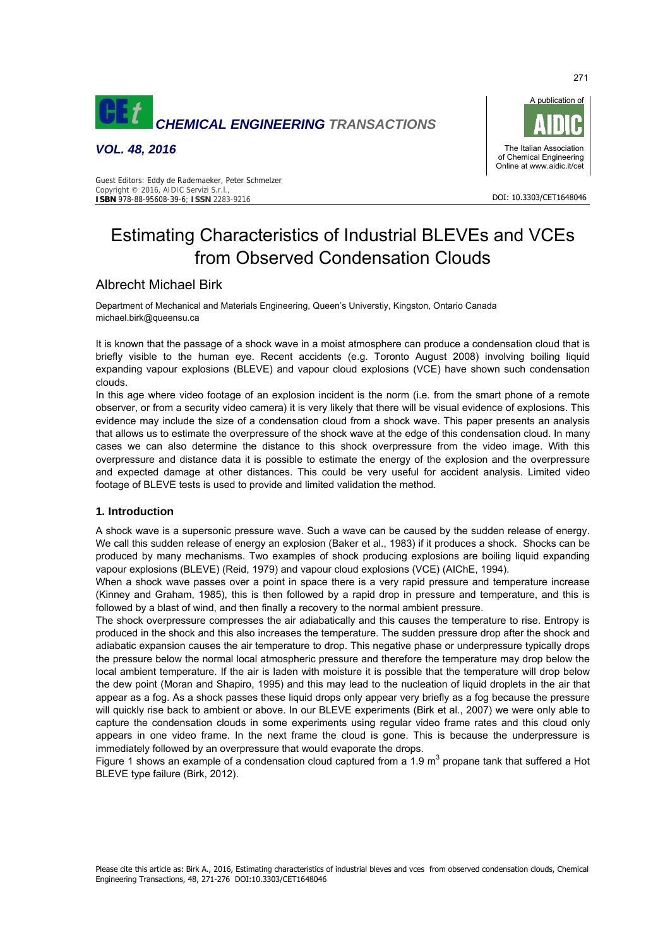

*VOL. 48, 2016* 



DOI: 10.3303/CET1648046

#### Guest Editors: Eddy de Rademaeker, Peter Schmelzer Copyright © 2016, AIDIC Servizi S.r.l., **ISBN** 978-88-95608-39-6; **ISSN** 2283-9216

# Estimating Characteristics of Industrial BLEVEs and VCEs from Observed Condensation Clouds

# Albrecht Michael Birk

Department of Mechanical and Materials Engineering, Queen's Universtiy, Kingston, Ontario Canada michael.birk@queensu.ca

It is known that the passage of a shock wave in a moist atmosphere can produce a condensation cloud that is briefly visible to the human eye. Recent accidents (e.g. Toronto August 2008) involving boiling liquid expanding vapour explosions (BLEVE) and vapour cloud explosions (VCE) have shown such condensation clouds.

In this age where video footage of an explosion incident is the norm (i.e. from the smart phone of a remote observer, or from a security video camera) it is very likely that there will be visual evidence of explosions. This evidence may include the size of a condensation cloud from a shock wave. This paper presents an analysis that allows us to estimate the overpressure of the shock wave at the edge of this condensation cloud. In many cases we can also determine the distance to this shock overpressure from the video image. With this overpressure and distance data it is possible to estimate the energy of the explosion and the overpressure and expected damage at other distances. This could be very useful for accident analysis. Limited video footage of BLEVE tests is used to provide and limited validation the method.

#### **1. Introduction**

A shock wave is a supersonic pressure wave. Such a wave can be caused by the sudden release of energy. We call this sudden release of energy an explosion (Baker et al., 1983) if it produces a shock. Shocks can be produced by many mechanisms. Two examples of shock producing explosions are boiling liquid expanding vapour explosions (BLEVE) (Reid, 1979) and vapour cloud explosions (VCE) (AIChE, 1994).

When a shock wave passes over a point in space there is a very rapid pressure and temperature increase (Kinney and Graham, 1985), this is then followed by a rapid drop in pressure and temperature, and this is followed by a blast of wind, and then finally a recovery to the normal ambient pressure.

The shock overpressure compresses the air adiabatically and this causes the temperature to rise. Entropy is produced in the shock and this also increases the temperature. The sudden pressure drop after the shock and adiabatic expansion causes the air temperature to drop. This negative phase or underpressure typically drops the pressure below the normal local atmospheric pressure and therefore the temperature may drop below the local ambient temperature. If the air is laden with moisture it is possible that the temperature will drop below the dew point (Moran and Shapiro, 1995) and this may lead to the nucleation of liquid droplets in the air that appear as a fog. As a shock passes these liquid drops only appear very briefly as a fog because the pressure will quickly rise back to ambient or above. In our BLEVE experiments (Birk et al., 2007) we were only able to capture the condensation clouds in some experiments using regular video frame rates and this cloud only appears in one video frame. In the next frame the cloud is gone. This is because the underpressure is immediately followed by an overpressure that would evaporate the drops.

Figure 1 shows an example of a condensation cloud captured from a 1.9 m<sup>3</sup> propane tank that suffered a Hot BLEVE type failure (Birk, 2012).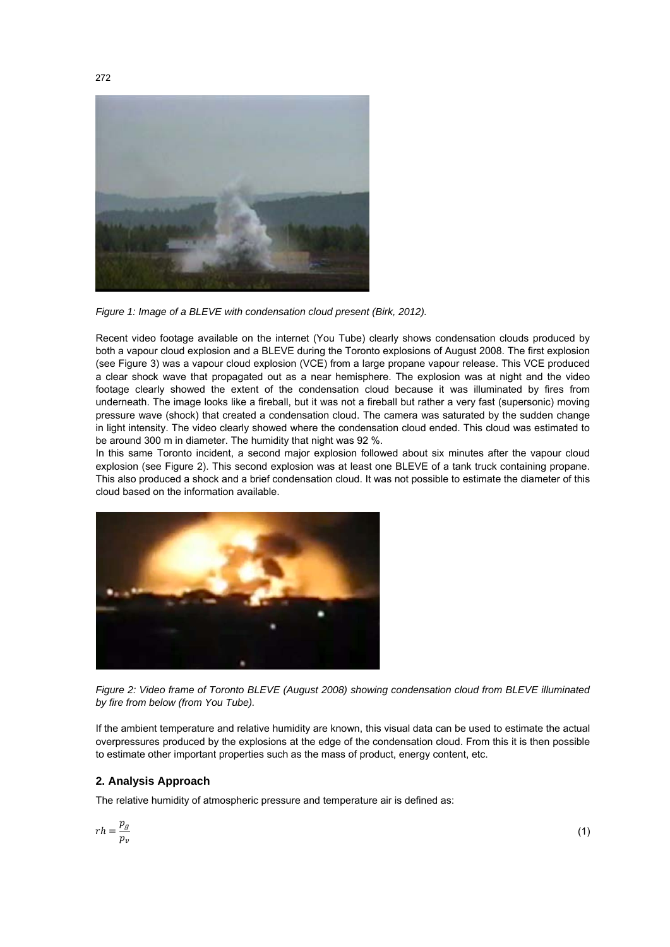

*Figure 1: Image of a BLEVE with condensation cloud present (Birk, 2012).* 

Recent video footage available on the internet (You Tube) clearly shows condensation clouds produced by both a vapour cloud explosion and a BLEVE during the Toronto explosions of August 2008. The first explosion (see Figure 3) was a vapour cloud explosion (VCE) from a large propane vapour release. This VCE produced a clear shock wave that propagated out as a near hemisphere. The explosion was at night and the video footage clearly showed the extent of the condensation cloud because it was illuminated by fires from underneath. The image looks like a fireball, but it was not a fireball but rather a very fast (supersonic) moving pressure wave (shock) that created a condensation cloud. The camera was saturated by the sudden change in light intensity. The video clearly showed where the condensation cloud ended. This cloud was estimated to be around 300 m in diameter. The humidity that night was 92 %.

In this same Toronto incident, a second major explosion followed about six minutes after the vapour cloud explosion (see Figure 2). This second explosion was at least one BLEVE of a tank truck containing propane. This also produced a shock and a brief condensation cloud. It was not possible to estimate the diameter of this cloud based on the information available.



*Figure 2: Video frame of Toronto BLEVE (August 2008) showing condensation cloud from BLEVE illuminated by fire from below (from You Tube).* 

If the ambient temperature and relative humidity are known, this visual data can be used to estimate the actual overpressures produced by the explosions at the edge of the condensation cloud. From this it is then possible to estimate other important properties such as the mass of product, energy content, etc.

## **2. Analysis Approach**

The relative humidity of atmospheric pressure and temperature air is defined as:

$$
r h = \frac{p_g}{p_v}
$$

(1)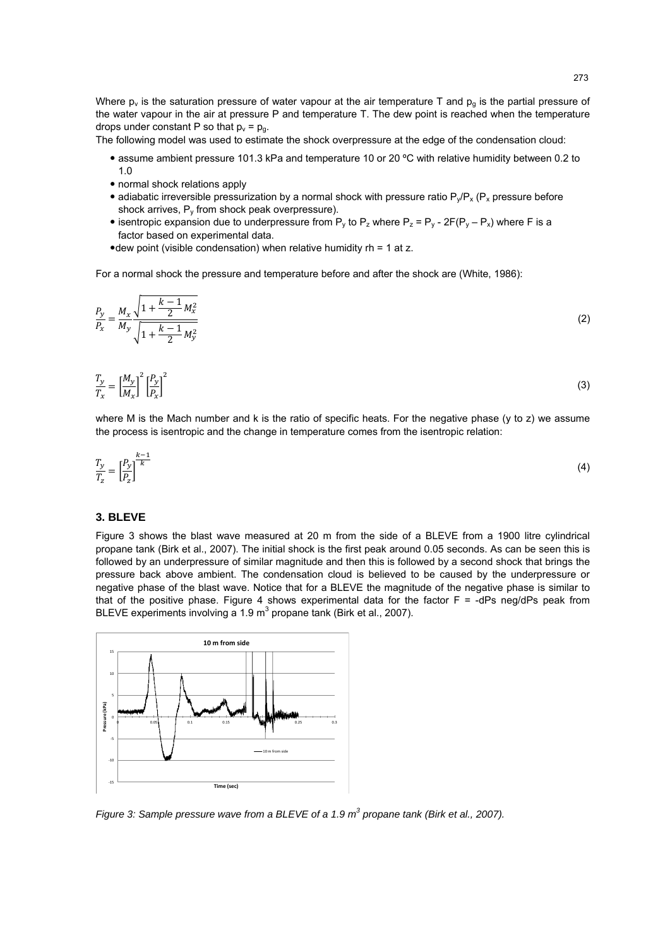Where  $p_v$  is the saturation pressure of water vapour at the air temperature T and  $p_g$  is the partial pressure of the water vapour in the air at pressure P and temperature T. The dew point is reached when the temperature drops under constant P so that  $p_v = p_q$ .

The following model was used to estimate the shock overpressure at the edge of the condensation cloud:

- assume ambient pressure 101.3 kPa and temperature 10 or 20 ºC with relative humidity between 0.2 to 1.0
- normal shock relations apply
- adiabatic irreversible pressurization by a normal shock with pressure ratio  $P_y/P_x$  ( $P_x$  pressure before shock arrives,  $P_v$  from shock peak overpressure).
- isentropic expansion due to underpressure from  $P_y$  to  $P_z$  where  $P_z = P_y 2F(P_y P_x)$  where F is a factor based on experimental data.
- $\bullet$  dew point (visible condensation) when relative humidity rh = 1 at z.

For a normal shock the pressure and temperature before and after the shock are (White, 1986):

$$
\frac{P_y}{P_x} = \frac{M_x}{M_y} \frac{\sqrt{1 + \frac{k - 1}{2} M_x^2}}{\sqrt{1 + \frac{k - 1}{2} M_y^2}}
$$
(2)

$$
\frac{T_y}{T_x} = \left[\frac{M_y}{M_x}\right]^2 \left[\frac{P_y}{P_x}\right]^2 \tag{3}
$$

where M is the Mach number and k is the ratio of specific heats. For the negative phase (y to z) we assume the process is isentropic and the change in temperature comes from the isentropic relation:

$$
\frac{T_y}{T_z} = \left[\frac{P_y}{P_z}\right]^{\frac{k-1}{k}}
$$
\n<sup>(4)</sup>

#### **3. BLEVE**

Figure 3 shows the blast wave measured at 20 m from the side of a BLEVE from a 1900 litre cylindrical propane tank (Birk et al., 2007). The initial shock is the first peak around 0.05 seconds. As can be seen this is followed by an underpressure of similar magnitude and then this is followed by a second shock that brings the pressure back above ambient. The condensation cloud is believed to be caused by the underpressure or negative phase of the blast wave. Notice that for a BLEVE the magnitude of the negative phase is similar to that of the positive phase. Figure 4 shows experimental data for the factor  $F = -dPs$  neg/dPs peak from BLEVE experiments involving a 1.9 m<sup>3</sup> propane tank (Birk et al., 2007).



*Figure 3: Sample pressure wave from a BLEVE of a 1.9 m<sup>3</sup> propane tank (Birk et al., 2007).*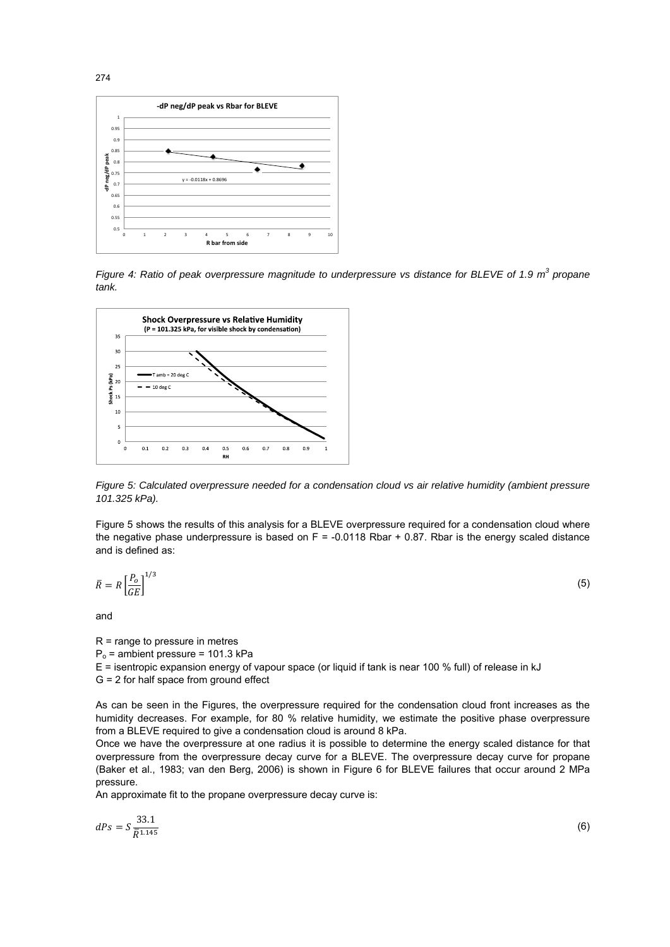

Figure 4: Ratio of peak overpressure magnitude to underpressure vs distance for BLEVE of 1.9 m<sup>3</sup> propane *tank.* 



*Figure 5: Calculated overpressure needed for a condensation cloud vs air relative humidity (ambient pressure 101.325 kPa).* 

Figure 5 shows the results of this analysis for a BLEVE overpressure required for a condensation cloud where the negative phase underpressure is based on F = -0.0118 Rbar + 0.87. Rbar is the energy scaled distance and is defined as:

$$
\bar{R} = R \left[ \frac{P_o}{GE} \right]^{1/3} \tag{5}
$$

and

R = range to pressure in metres  $P<sub>o</sub>$  = ambient pressure = 101.3 kPa E = isentropic expansion energy of vapour space (or liquid if tank is near 100 % full) of release in kJ G = 2 for half space from ground effect

As can be seen in the Figures, the overpressure required for the condensation cloud front increases as the humidity decreases. For example, for 80 % relative humidity, we estimate the positive phase overpressure from a BLEVE required to give a condensation cloud is around 8 kPa.

Once we have the overpressure at one radius it is possible to determine the energy scaled distance for that overpressure from the overpressure decay curve for a BLEVE. The overpressure decay curve for propane (Baker et al., 1983; van den Berg, 2006) is shown in Figure 6 for BLEVE failures that occur around 2 MPa pressure.

An approximate fit to the propane overpressure decay curve is:

$$
dPs = S \frac{33.1}{\overline{R}^{1.145}}
$$
 (6)

274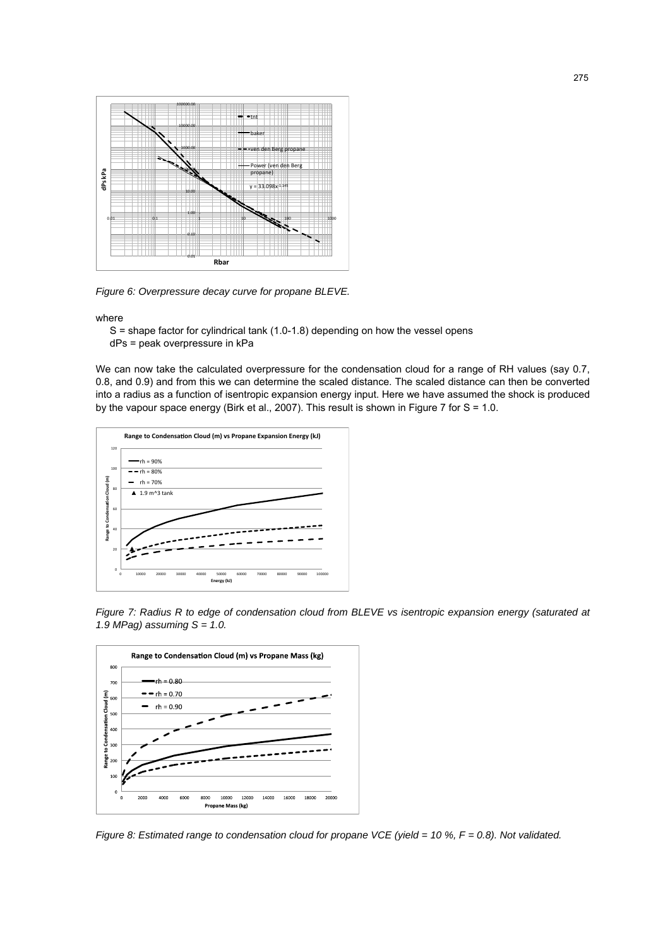

*Figure 6: Overpressure decay curve for propane BLEVE.* 

where

 S = shape factor for cylindrical tank (1.0-1.8) depending on how the vessel opens dPs = peak overpressure in kPa

We can now take the calculated overpressure for the condensation cloud for a range of RH values (say 0.7, 0.8, and 0.9) and from this we can determine the scaled distance. The scaled distance can then be converted into a radius as a function of isentropic expansion energy input. Here we have assumed the shock is produced by the vapour space energy (Birk et al., 2007). This result is shown in Figure 7 for S = 1.0.



*Figure 7: Radius R to edge of condensation cloud from BLEVE vs isentropic expansion energy (saturated at 1.9 MPag) assuming S = 1.0.* 



*Figure 8: Estimated range to condensation cloud for propane VCE (yield = 10 %, F = 0.8). Not validated.*